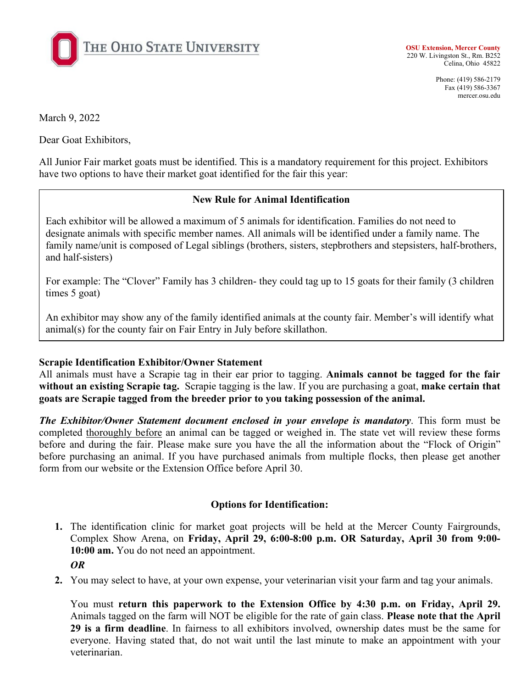

**OSU Extension, Mercer County** 220 W. Livingston St., Rm. B252 Celina, Ohio 45822

> Phone: (419) 586-2179 Fax (419) 586-3367 mercer.osu.edu

March 9, 2022

Dear Goat Exhibitors,

All Junior Fair market goats must be identified. This is a mandatory requirement for this project. Exhibitors have two options to have their market goat identified for the fair this year:

## **New Rule for Animal Identification**

Each exhibitor will be allowed a maximum of 5 animals for identification. Families do not need to designate animals with specific member names. All animals will be identified under a family name. The family name/unit is composed of Legal siblings (brothers, sisters, stepbrothers and stepsisters, half-brothers, and half-sisters)

For example: The "Clover" Family has 3 children- they could tag up to 15 goats for their family (3 children times 5 goat)

An exhibitor may show any of the family identified animals at the county fair. Member's will identify what animal(s) for the county fair on Fair Entry in July before skillathon.

## **Scrapie Identification Exhibitor/Owner Statement**

All animals must have a Scrapie tag in their ear prior to tagging. **Animals cannot be tagged for the fair without an existing Scrapie tag.** Scrapie tagging is the law. If you are purchasing a goat, **make certain that goats are Scrapie tagged from the breeder prior to you taking possession of the animal.**

*The Exhibitor/Owner Statement document enclosed in your envelope is mandatory*. This form must be completed thoroughly before an animal can be tagged or weighed in. The state vet will review these forms before and during the fair. Please make sure you have the all the information about the "Flock of Origin" before purchasing an animal. If you have purchased animals from multiple flocks, then please get another form from our website or the Extension Office before April 30.

## **Options for Identification:**

**1.** The identification clinic for market goat projects will be held at the Mercer County Fairgrounds, Complex Show Arena, on **Friday, April 29, 6:00-8:00 p.m. OR Saturday, April 30 from 9:00- 10:00 am.** You do not need an appointment.

 *OR*

**2.** You may select to have, at your own expense, your veterinarian visit your farm and tag your animals.

You must **return this paperwork to the Extension Office by 4:30 p.m. on Friday, April 29.** Animals tagged on the farm will NOT be eligible for the rate of gain class. **Please note that the April 29 is a firm deadline**. In fairness to all exhibitors involved, ownership dates must be the same for everyone. Having stated that, do not wait until the last minute to make an appointment with your veterinarian.